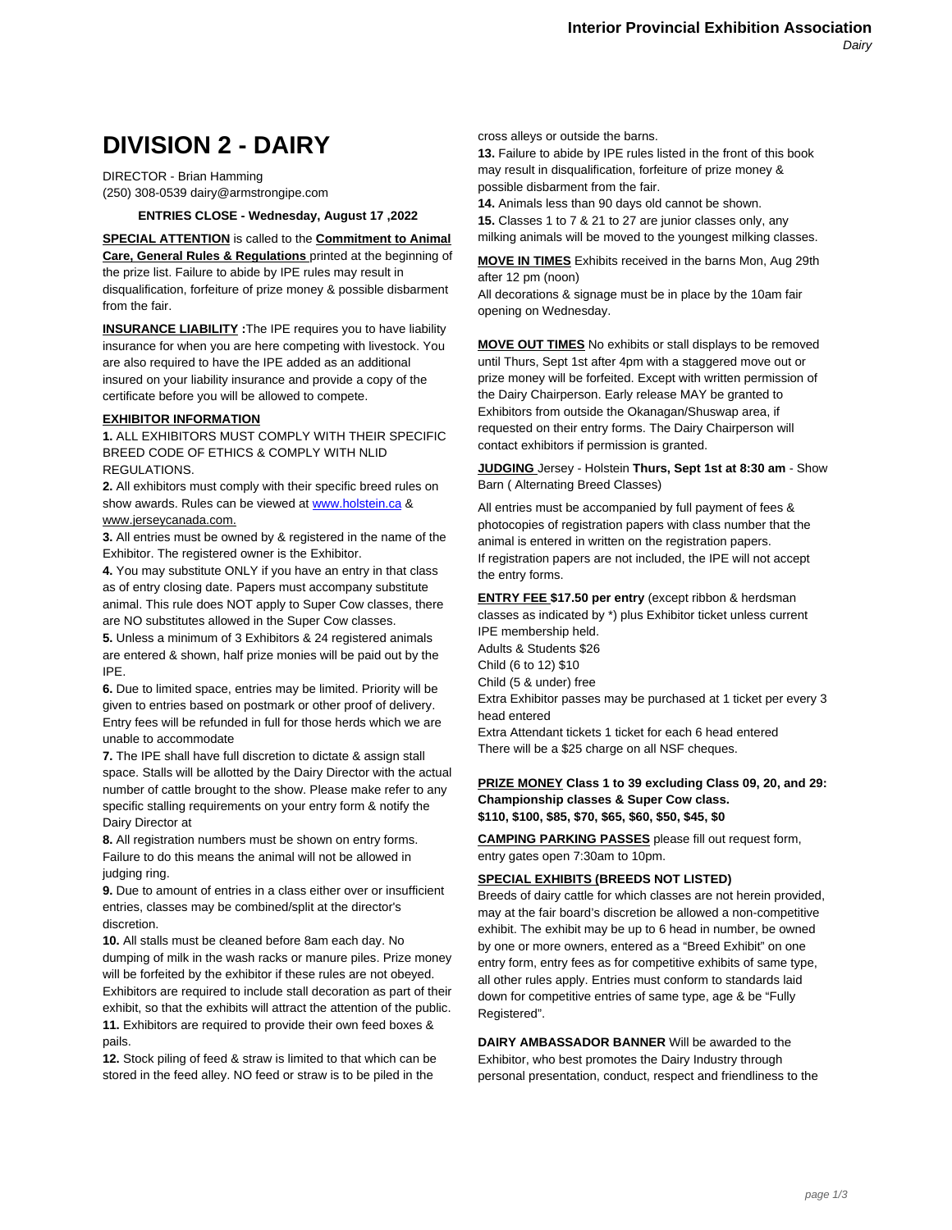# **DIVISION 2 - DAIRY**

DIRECTOR - Brian Hamming (250) 308-0539 dairy@armstrongipe.com

**ENTRIES CLOSE - Wednesday, August 17 ,2022**

**SPECIAL ATTENTION** is called to the **Commitment to Animal Care, General Rules & Regulations** printed at the beginning of the prize list. Failure to abide by IPE rules may result in disqualification, forfeiture of prize money & possible disbarment from the fair.

**INSURANCE LIABILITY :**The IPE requires you to have liability insurance for when you are here competing with livestock. You are also required to have the IPE added as an additional insured on your liability insurance and provide a copy of the certificate before you will be allowed to compete.

# **EXHIBITOR INFORMATION**

**1.** ALL EXHIBITORS MUST COMPLY WITH THEIR SPECIFIC BREED CODE OF ETHICS & COMPLY WITH NLID REGULATIONS.

**2.** All exhibitors must comply with [their specific breed](http://www.holstein.ca/) rules on show awards. Rules can be viewed at www.holstein.ca & www.jerseycanada.com.

**3.** All entries must be owned by & registered in the name of the Exhibitor. The registered owner is the Exhibitor.

**4.** You may substitute ONLY if you have an entry in that class as of entry closing date. Papers must accompany substitute animal. This rule does NOT apply to Super Cow classes, there are NO substitutes allowed in the Super Cow classes.

**5.** Unless a minimum of 3 Exhibitors & 24 registered animals are entered & shown, half prize monies will be paid out by the IPE.

**6.** Due to limited space, entries may be limited. Priority will be given to entries based on postmark or other proof of delivery. Entry fees will be refunded in full for those herds which we are unable to accommodate

**7.** The IPE shall have full discretion to dictate & assign stall space. Stalls will be allotted by the Dairy Director with the actual number of cattle brought to the show. Please make refer to any specific stalling requirements on your entry form & notify the Dairy Director at

**8.** All registration numbers must be shown on entry forms. Failure to do this means the animal will not be allowed in judging ring.

**9.** Due to amount of entries in a class either over or insufficient entries, classes may be combined/split at the director's discretion.

**10.** All stalls must be cleaned before 8am each day. No dumping of milk in the wash racks or manure piles. Prize money will be forfeited by the exhibitor if these rules are not obeyed. Exhibitors are required to include stall decoration as part of their exhibit, so that the exhibits will attract the attention of the public. **11.** Exhibitors are required to provide their own feed boxes & pails.

**12.** Stock piling of feed & straw is limited to that which can be stored in the feed alley. NO feed or straw is to be piled in the

cross alleys or outside the barns.

**13.** Failure to abide by IPE rules listed in the front of this book may result in disqualification, forfeiture of prize money & possible disbarment from the fair.

**14.** Animals less than 90 days old cannot be shown. **15.** Classes 1 to 7 & 21 to 27 are junior classes only, any milking animals will be moved to the youngest milking classes.

**MOVE IN TIMES** Exhibits received in the barns Mon, Aug 29th after 12 pm (noon)

All decorations & signage must be in place by the 10am fair opening on Wednesday.

**MOVE OUT TIMES** No exhibits or stall displays to be removed until Thurs, Sept 1st after 4pm with a staggered move out or prize money will be forfeited. Except with written permission of the Dairy Chairperson. Early release MAY be granted to Exhibitors from outside the Okanagan/Shuswap area, if requested on their entry forms. The Dairy Chairperson will contact exhibitors if permission is granted.

**JUDGING** Jersey - Holstein **Thurs, Sept 1st at 8:30 am** - Show Barn ( Alternating Breed Classes)

All entries must be accompanied by full payment of fees & photocopies of registration papers with class number that the animal is entered in written on the registration papers. If registration papers are not included, the IPE will not accept the entry forms.

**ENTRY FEE \$17.50 per entry** (except ribbon & herdsman classes as indicated by \*) plus Exhibitor ticket unless current IPE membership held.

Adults & Students \$26 Child (6 to 12) \$10 Child (5 & under) free Extra Exhibitor passes may be purchased at 1 ticket per every 3 head entered

Extra Attendant tickets 1 ticket for each 6 head entered There will be a \$25 charge on all NSF cheques.

#### **PRIZE MONEY Class 1 to 39 excluding Class 09, 20, and 29: Championship classes & Super Cow class. \$110, \$100, \$85, \$70, \$65, \$60, \$50, \$45, \$0**

**CAMPING PARKING PASSES** please fill out request form, entry gates open 7:30am to 10pm.

# **SPECIAL EXHIBITS (BREEDS NOT LISTED)**

Breeds of dairy cattle for which classes are not herein provided, may at the fair board's discretion be allowed a non-competitive exhibit. The exhibit may be up to 6 head in number, be owned by one or more owners, entered as a "Breed Exhibit" on one entry form, entry fees as for competitive exhibits of same type, all other rules apply. Entries must conform to standards laid down for competitive entries of same type, age & be "Fully Registered".

**DAIRY AMBASSADOR BANNER** Will be awarded to the Exhibitor, who best promotes the Dairy Industry through personal presentation, conduct, respect and friendliness to the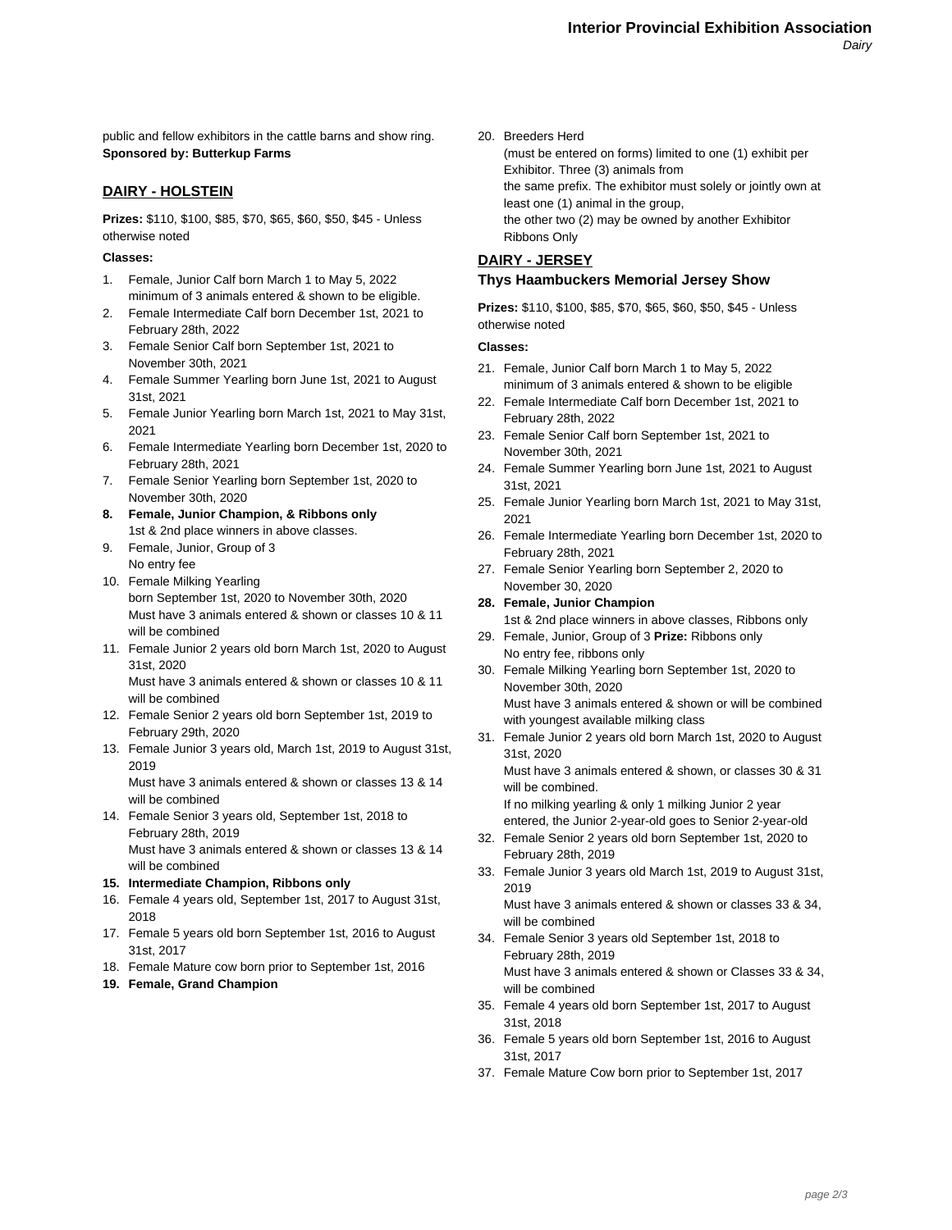public and fellow exhibitors in the cattle barns and show ring. **Sponsored by: Butterkup Farms**

## **DAIRY - HOLSTEIN**

**Prizes:** \$110, \$100, \$85, \$70, \$65, \$60, \$50, \$45 - Unless otherwise noted

#### **Classes:**

- 1. Female, Junior Calf born March 1 to May 5, 2022 minimum of 3 animals entered & shown to be eligible.
- 2. Female Intermediate Calf born December 1st, 2021 to February 28th, 2022
- 3. Female Senior Calf born September 1st, 2021 to November 30th, 2021
- 4. Female Summer Yearling born June 1st, 2021 to August 31st, 2021
- 5. Female Junior Yearling born March 1st, 2021 to May 31st, 2021
- 6. Female Intermediate Yearling born December 1st, 2020 to February 28th, 2021
- 7. Female Senior Yearling born September 1st, 2020 to November 30th, 2020
- **8. Female, Junior Champion, & Ribbons only** 1st & 2nd place winners in above classes.
- 9. Female, Junior, Group of 3 No entry fee
- 10. Female Milking Yearling born September 1st, 2020 to November 30th, 2020 Must have 3 animals entered & shown or classes 10 & 11 will be combined
- 11. Female Junior 2 years old born March 1st, 2020 to August 31st, 2020

Must have 3 animals entered & shown or classes 10 & 11 will be combined

- 12. Female Senior 2 years old born September 1st, 2019 to February 29th, 2020
- 13. Female Junior 3 years old, March 1st, 2019 to August 31st, 2019

Must have 3 animals entered & shown or classes 13 & 14 will be combined

- 14. Female Senior 3 years old, September 1st, 2018 to February 28th, 2019 Must have 3 animals entered & shown or classes 13 & 14
- will be combined **15. Intermediate Champion, Ribbons only**
- 16. Female 4 years old, September 1st, 2017 to August 31st, 2018
- 17. Female 5 years old born September 1st, 2016 to August 31st, 2017
- 18. Female Mature cow born prior to September 1st, 2016
- **19. Female, Grand Champion**

20. Breeders Herd

(must be entered on forms) limited to one (1) exhibit per Exhibitor. Three (3) animals from the same prefix. The exhibitor must solely or jointly own at least one (1) animal in the group, the other two (2) may be owned by another Exhibitor Ribbons Only

# **DAIRY - JERSEY Thys Haambuckers Memorial Jersey Show**

**Prizes:** \$110, \$100, \$85, \$70, \$65, \$60, \$50, \$45 - Unless otherwise noted

#### **Classes:**

- 21. Female, Junior Calf born March 1 to May 5, 2022 minimum of 3 animals entered & shown to be eligible
- 22. Female Intermediate Calf born December 1st, 2021 to February 28th, 2022
- 23. Female Senior Calf born September 1st, 2021 to November 30th, 2021
- 24. Female Summer Yearling born June 1st, 2021 to August 31st, 2021
- 25. Female Junior Yearling born March 1st, 2021 to May 31st, 2021
- 26. Female Intermediate Yearling born December 1st, 2020 to February 28th, 2021
- 27. Female Senior Yearling born September 2, 2020 to November 30, 2020

#### **28. Female, Junior Champion**

- 1st & 2nd place winners in above classes, Ribbons only 29. Female, Junior, Group of 3 **Prize:** Ribbons only
- No entry fee, ribbons only 30. Female Milking Yearling born September 1st, 2020 to
- November 30th, 2020 Must have 3 animals entered & shown or will be combined
- with youngest available milking class 31. Female Junior 2 years old born March 1st, 2020 to August 31st, 2020

Must have 3 animals entered & shown, or classes 30 & 31 will be combined.

If no milking yearling & only 1 milking Junior 2 year entered, the Junior 2-year-old goes to Senior 2-year-old

- 32. Female Senior 2 years old born September 1st, 2020 to February 28th, 2019
- 33. Female Junior 3 years old March 1st, 2019 to August 31st, 2019

Must have 3 animals entered & shown or classes 33 & 34, will be combined

- 34. Female Senior 3 years old September 1st, 2018 to February 28th, 2019 Must have 3 animals entered & shown or Classes 33 & 34, will be combined
- 35. Female 4 years old born September 1st, 2017 to August 31st, 2018
- 36. Female 5 years old born September 1st, 2016 to August 31st, 2017
- 37. Female Mature Cow born prior to September 1st, 2017